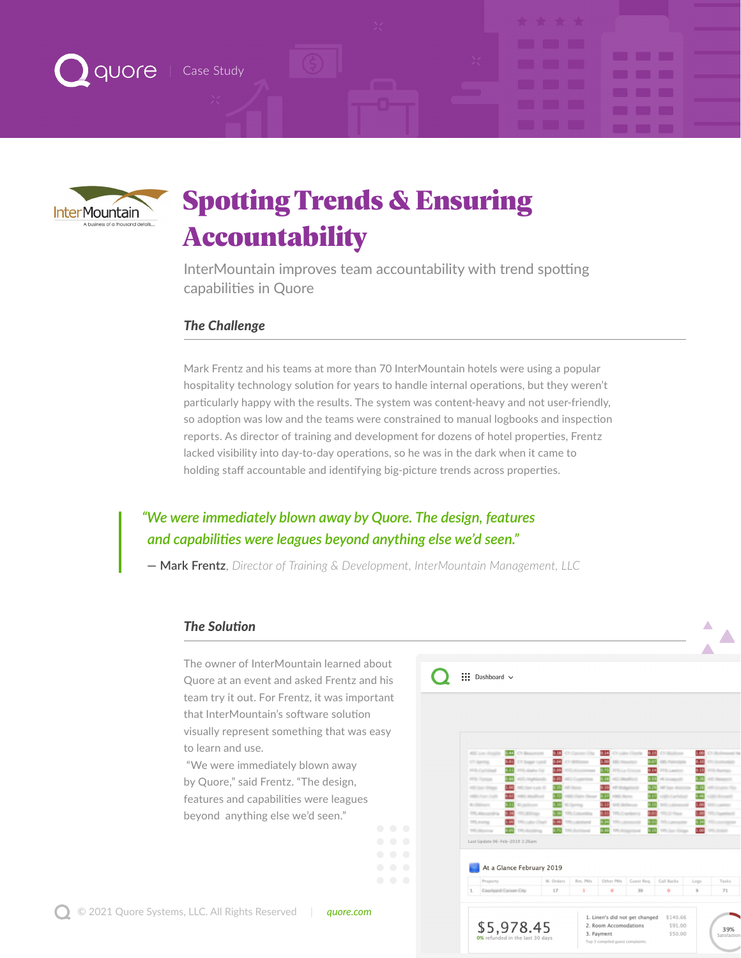



# Spotting Trends & Ensuring Accountability

InterMountain improves team accountability with trend spotting capabilities in Quore

### *The Challenge*

Mark Frentz and his teams at more than 70 InterMountain hotels were using a popular hospitality technology solution for years to handle internal operations, but they weren't particularly happy with the results. The system was content-heavy and not user-friendly, so adoption was low and the teams were constrained to manual logbooks and inspection reports. As director of training and development for dozens of hotel properties, Frentz lacked visibility into day-to-day operations, so he was in the dark when it came to holding staff accountable and identifying big-picture trends across properties.

## *"We were immediately blown away by Quore. The design, features and capabilities were leagues beyond anything else we'd seen."*

**— Mark Frentz**, *Director of Training & Development, InterMountain Management, LLC*

#### *The Solution*

The owner of InterMountain learned about Quore at an event and asked Frentz and his team try it out. For Frentz, it was important that InterMountain's software solution visually represent something that was easy to learn and use.

 "We were immediately blown away by Quore," said Frentz. "The design, features and capabilities were leagues beyond anything else we'd seen."